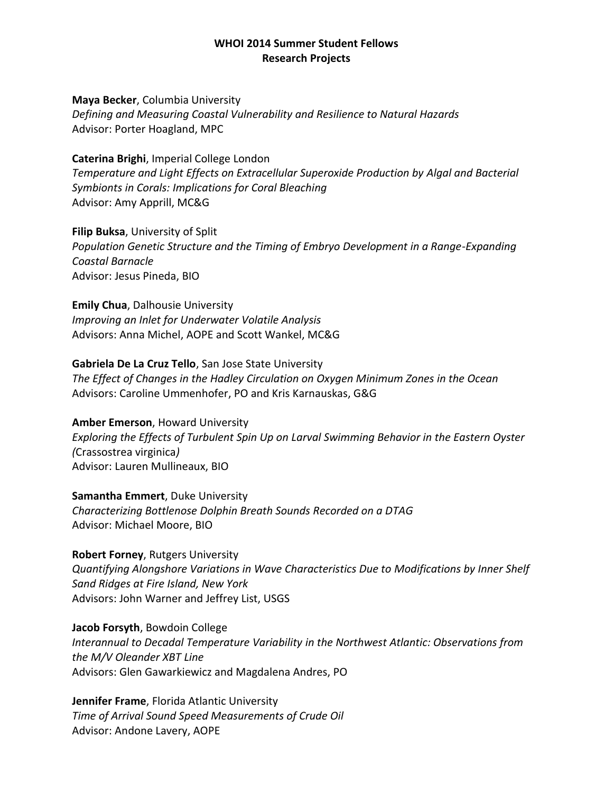**Maya Becker**, Columbia University *Defining and Measuring Coastal Vulnerability and Resilience to Natural Hazards* Advisor: Porter Hoagland, MPC

**Caterina Brighi**, Imperial College London *Temperature and Light Effects on Extracellular Superoxide Production by Algal and Bacterial Symbionts in Corals: Implications for Coral Bleaching* Advisor: Amy Apprill, MC&G

**Filip Buksa**, University of Split *Population Genetic Structure and the Timing of Embryo Development in a Range-Expanding Coastal Barnacle* Advisor: Jesus Pineda, BIO

**Emily Chua**, Dalhousie University *Improving an Inlet for Underwater Volatile Analysis* Advisors: Anna Michel, AOPE and Scott Wankel, MC&G

**Gabriela De La Cruz Tello**, San Jose State University *The Effect of Changes in the Hadley Circulation on Oxygen Minimum Zones in the Ocean* Advisors: Caroline Ummenhofer, PO and Kris Karnauskas, G&G

**Amber Emerson**, Howard University *Exploring the Effects of Turbulent Spin Up on Larval Swimming Behavior in the Eastern Oyster (*Crassostrea virginica*)* Advisor: Lauren Mullineaux, BIO

**Samantha Emmert**, Duke University *Characterizing Bottlenose Dolphin Breath Sounds Recorded on a DTAG* Advisor: Michael Moore, BIO

**Robert Forney**, Rutgers University *Quantifying Alongshore Variations in Wave Characteristics Due to Modifications by Inner Shelf Sand Ridges at Fire Island, New York* Advisors: John Warner and Jeffrey List, USGS

**Jacob Forsyth**, Bowdoin College *Interannual to Decadal Temperature Variability in the Northwest Atlantic: Observations from the M/V Oleander XBT Line* Advisors: Glen Gawarkiewicz and Magdalena Andres, PO

**Jennifer Frame**, Florida Atlantic University *Time of Arrival Sound Speed Measurements of Crude Oil* Advisor: Andone Lavery, AOPE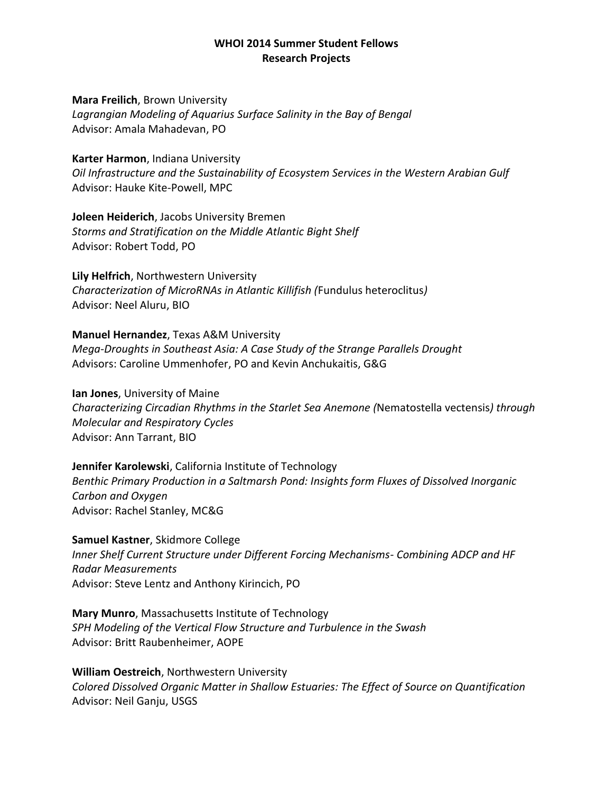### **Mara Freilich**, Brown University

*Lagrangian Modeling of Aquarius Surface Salinity in the Bay of Bengal* Advisor: Amala Mahadevan, PO

### **Karter Harmon**, Indiana University

*Oil Infrastructure and the Sustainability of Ecosystem Services in the Western Arabian Gulf* Advisor: Hauke Kite-Powell, MPC

**Joleen Heiderich**, Jacobs University Bremen

*Storms and Stratification on the Middle Atlantic Bight Shelf* Advisor: Robert Todd, PO

**Lily Helfrich**, Northwestern University *Characterization of MicroRNAs in Atlantic Killifish (*Fundulus heteroclitus*)* Advisor: Neel Aluru, BIO

# **Manuel Hernandez**, Texas A&M University

*Mega-Droughts in Southeast Asia: A Case Study of the Strange Parallels Drought* Advisors: Caroline Ummenhofer, PO and Kevin Anchukaitis, G&G

**Ian Jones**, University of Maine *Characterizing Circadian Rhythms in the Starlet Sea Anemone (*Nematostella vectensis*) through Molecular and Respiratory Cycles* Advisor: Ann Tarrant, BIO

## **Jennifer Karolewski**, California Institute of Technology *Benthic Primary Production in a Saltmarsh Pond: Insights form Fluxes of Dissolved Inorganic Carbon and Oxygen* Advisor: Rachel Stanley, MC&G

**Samuel Kastner**, Skidmore College *Inner Shelf Current Structure under Different Forcing Mechanisms- Combining ADCP and HF Radar Measurements* Advisor: Steve Lentz and Anthony Kirincich, PO

**Mary Munro**, Massachusetts Institute of Technology *SPH Modeling of the Vertical Flow Structure and Turbulence in the Swash* Advisor: Britt Raubenheimer, AOPE

**William Oestreich**, Northwestern University *Colored Dissolved Organic Matter in Shallow Estuaries: The Effect of Source on Quantification* Advisor: Neil Ganju, USGS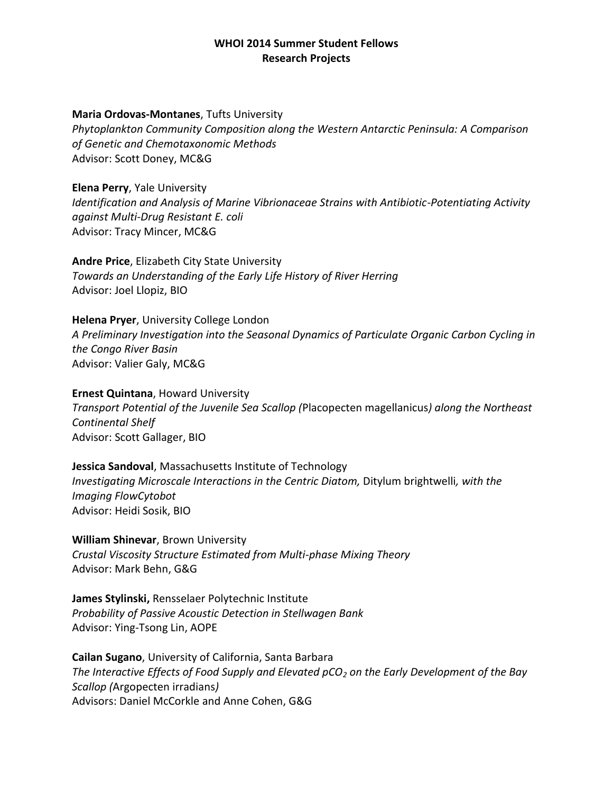#### **Maria Ordovas-Montanes**, Tufts University

*Phytoplankton Community Composition along the Western Antarctic Peninsula: A Comparison of Genetic and Chemotaxonomic Methods* Advisor: Scott Doney, MC&G

**Elena Perry**, Yale University

*Identification and Analysis of Marine Vibrionaceae Strains with Antibiotic-Potentiating Activity against Multi-Drug Resistant E. coli* Advisor: Tracy Mincer, MC&G

**Andre Price**, Elizabeth City State University *Towards an Understanding of the Early Life History of River Herring* Advisor: Joel Llopiz, BIO

**Helena Pryer**, University College London *A Preliminary Investigation into the Seasonal Dynamics of Particulate Organic Carbon Cycling in the Congo River Basin* Advisor: Valier Galy, MC&G

**Ernest Quintana**, Howard University *Transport Potential of the Juvenile Sea Scallop (*Placopecten magellanicus*) along the Northeast Continental Shelf* Advisor: Scott Gallager, BIO

**Jessica Sandoval**, Massachusetts Institute of Technology *Investigating Microscale Interactions in the Centric Diatom, Ditylum brightwelli, with the Imaging FlowCytobot* Advisor: Heidi Sosik, BIO

**William Shinevar**, Brown University *Crustal Viscosity Structure Estimated from Multi-phase Mixing Theory*  Advisor: Mark Behn, G&G

**James Stylinski,** Rensselaer Polytechnic Institute *Probability of Passive Acoustic Detection in Stellwagen Bank* Advisor: Ying-Tsong Lin, AOPE

**Cailan Sugano**, University of California, Santa Barbara *The Interactive Effects of Food Supply and Elevated pCO<sup>2</sup> on the Early Development of the Bay Scallop (*Argopecten irradians*)* Advisors: Daniel McCorkle and Anne Cohen, G&G